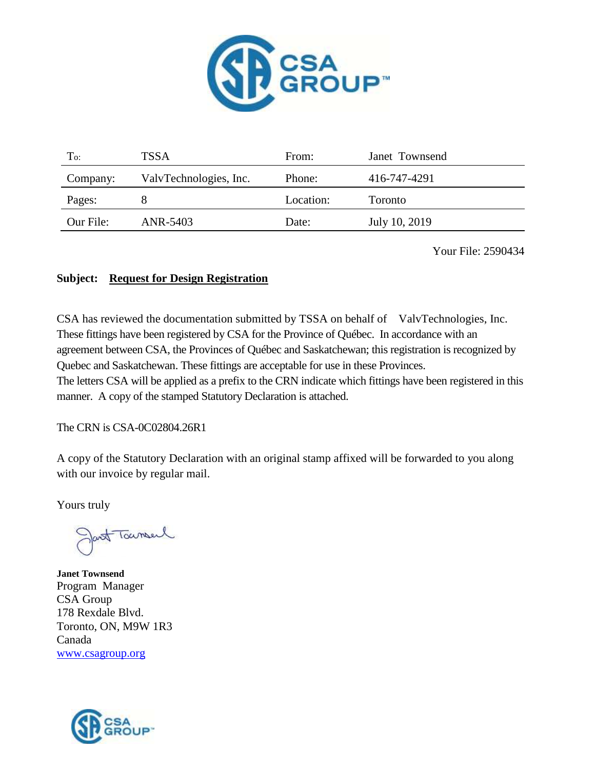

| To:       | TSSA                   | From:     | Janet Townsend |
|-----------|------------------------|-----------|----------------|
| Company:  | ValvTechnologies, Inc. | Phone:    | 416-747-4291   |
| Pages:    |                        | Location: | Toronto        |
| Our File: | ANR-5403               | Date:     | July 10, 2019  |

Your File: 2590434

#### **Subject: Request for Design Registration**

CSA has reviewed the documentation submitted by TSSA on behalf of ValvTechnologies, Inc. These fittings have been registered by CSA for the Province of Québec. In accordance with an agreement between CSA, the Provinces of Québec and Saskatchewan; this registration is recognized by Quebec and Saskatchewan. These fittings are acceptable for use in these Provinces.

The letters CSA will be applied as a prefix to the CRN indicate which fittings have been registered in this manner. A copy of the stamped Statutory Declaration is attached.

The CRN is CSA-0C02804.26R1

A copy of the Statutory Declaration with an original stamp affixed will be forwarded to you along with our invoice by regular mail.

Yours truly

Jacob Toursel

**Janet Townsend** Program Manager CSA Group 178 Rexdale Blvd. Toronto, ON, M9W 1R3 Canada [www.csagroup.org](http://www.csagroup.org/)

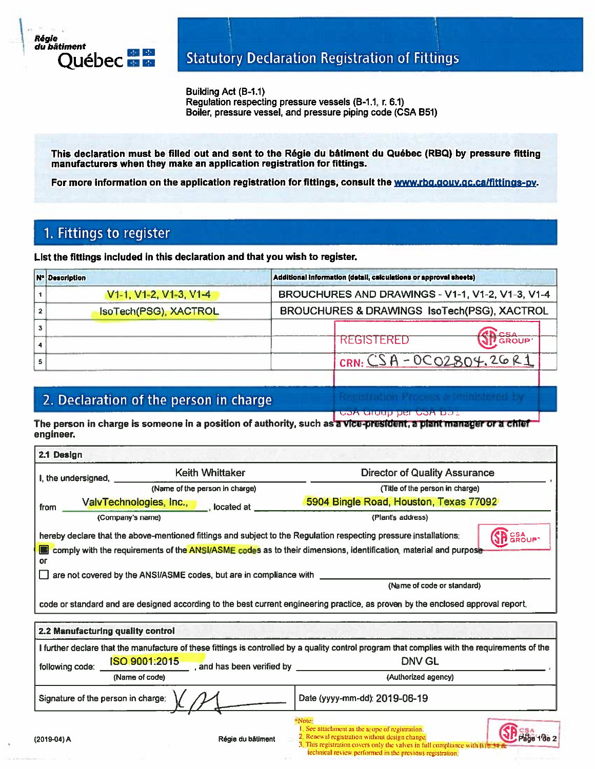

Building Act (B-1.1) Regulation respecting pressure vessels (B-1.1, r. 6.1) Boiler, pressure vessel, and pressure piping code (CSA B51)

This declaration must be filled out and sent to the Régie du bâtiment du Québec (RBQ) by pressure fitting manufacturers when they make an application registration for fittings.

For more information on the application registration for fittings, consult the www.rbg.gouv.gc.ca/fittings-py.

## 1. Fittings to register

List the fittings included in this declaration and that you wish to register.

| Additional information (detail, calculations or approval sheets)<br><b>Nº Description</b> |                                                  |  |
|-------------------------------------------------------------------------------------------|--------------------------------------------------|--|
| V <sub>1</sub> -1, V <sub>1</sub> -2, V <sub>1</sub> -3, V <sub>1</sub> -4                | BROUCHURES AND DRAWINGS - V1-1, V1-2, V1-3, V1-4 |  |
| IsoTech(PSG), XACTROL                                                                     | BROUCHURES & DRAWINGS IsoTech(PSG), XACTROL      |  |
|                                                                                           |                                                  |  |
|                                                                                           | <b>REGISTERED</b><br><b>GROUP</b>                |  |
|                                                                                           | CRN: $CSA - OCO2804.26R1$                        |  |

## 2. Declaration of the person in charge

COR aroup per COR Das

The person in charge is someone in a position of authority, such as a vice-president, a plant manager or a chief engineer.

| I, the undersigned, _              | Keith Whittaker                                                    | <b>Director of Quality Assurance</b>                                                                                                                                                                                                              |
|------------------------------------|--------------------------------------------------------------------|---------------------------------------------------------------------------------------------------------------------------------------------------------------------------------------------------------------------------------------------------|
|                                    | (Name of the person in charge)                                     | (Title of the person in charge)                                                                                                                                                                                                                   |
| from                               | ValvTechnologies, Inc.,<br>located at                              | 5904 Bingle Road, Houston, Texas 77092                                                                                                                                                                                                            |
| (Company's name)                   |                                                                    | (Plant's address)                                                                                                                                                                                                                                 |
| or                                 |                                                                    | SP GROUP<br>hereby declare that the above-mentioned fittings and subject to the Regulation respecting pressure installations:<br>comply with the requirements of the ANSI/ASME codes as to their dimensions, identification, material and purpose |
|                                    | are not covered by the ANSI/ASME codes, but are in compliance with | (Name of code or standard)                                                                                                                                                                                                                        |
| 2.2 Manufacturing quality control  |                                                                    | code or standard and are designed according to the best current engineering practice, as proven by the enclosed approval report,                                                                                                                  |
| following code:                    | ISO 9001:2015<br>, and has been verified by _________              | I further declare that the manufacture of these fittings is controlled by a quality control program that complies with the requirements of the<br>DNV GL                                                                                          |
|                                    | (Name of code)                                                     | (Authorized agency)                                                                                                                                                                                                                               |
|                                    |                                                                    | Date (yyyy-mm-dd): 2019-06-19                                                                                                                                                                                                                     |
| Signature of the person in charge: |                                                                    |                                                                                                                                                                                                                                                   |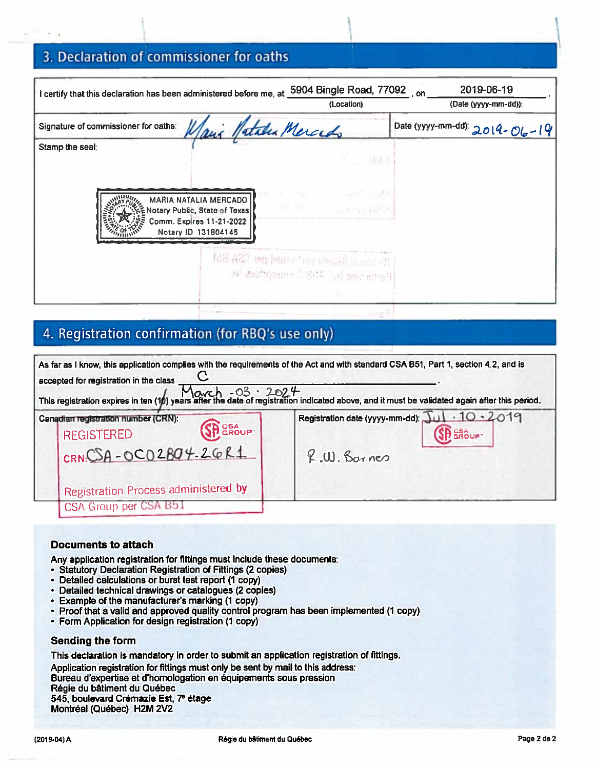# 3. Declaration of commissioner for oaths

| I certify that this declaration has been administered before me, at                                                          | 5904 Bingle Road, 77092 on                                                                                                                                    | 2019-06-19                    |
|------------------------------------------------------------------------------------------------------------------------------|---------------------------------------------------------------------------------------------------------------------------------------------------------------|-------------------------------|
|                                                                                                                              | (Location)                                                                                                                                                    | (Date (yyyy-mm-dd)):          |
| Signature of commissioner for oaths:<br>Janic Natale Mercedo                                                                 |                                                                                                                                                               | Date (yyyy-mm-dd): 2014-06-19 |
| Stamp the seal:<br>MARIA NATALIA MERCADO<br>Notary Public, State of Texas<br>Comm. Expires 11-21-2022<br>Notary ID 131804145 | 新見学<br>The property of the control of the<br><b>THE ATTELL LEGISLARIE</b><br>[Petimide] Review performed per CSA B51<br>Pertanged by: ANRIC Frientifiscs inc. |                               |
|                                                                                                                              |                                                                                                                                                               |                               |

## 4. Registration confirmation (for RBQ's use only)

| accepted for registration in the class                                                                                                 | As far as I know, this application complies with the requirements of the Act and with standard CSA B51, Part 1, section 4.2, and is<br>This registration expires in ten (1) years after the date of registration indicated above, and it must be validated again after this period. |
|----------------------------------------------------------------------------------------------------------------------------------------|-------------------------------------------------------------------------------------------------------------------------------------------------------------------------------------------------------------------------------------------------------------------------------------|
| Canadian registration number (CRN):<br>SP GROUP<br><b>REGISTERED</b><br>$CRN.CSA-OCO2BO4.26R1$<br>Registration Process administered by | Registration date (yyyy-mm-dd): Jul · 10 · 2019<br><b>SH</b> CSA UP<br>R.W. Barnes                                                                                                                                                                                                  |
| CSA Group per CSA B51                                                                                                                  |                                                                                                                                                                                                                                                                                     |

#### **Documents to attach**

Any application registration for fittings must include these documents:

- · Statutory Declaration Registration of Fittings (2 copies)
- Detailed calculations or burst test report (1 copy)
- · Detailed technical drawings or catalogues (2 copies)
- Example of the manufacturer's marking (1 copy)
- Proof that a valid and approved quality control program has been implemented (1 copy)
- Form Application for design registration (1 copy)

#### **Sending the form**

This declaration is mandatory in order to submit an application registration of fittings. Application registration for fittings must only be sent by mail to this address: Bureau d'expertise et d'homologation en équipements sous pression Régie du bâtiment du Québec 545, boulevard Crémazie Est, 7e étage Montréal (Québec) H2M 2V2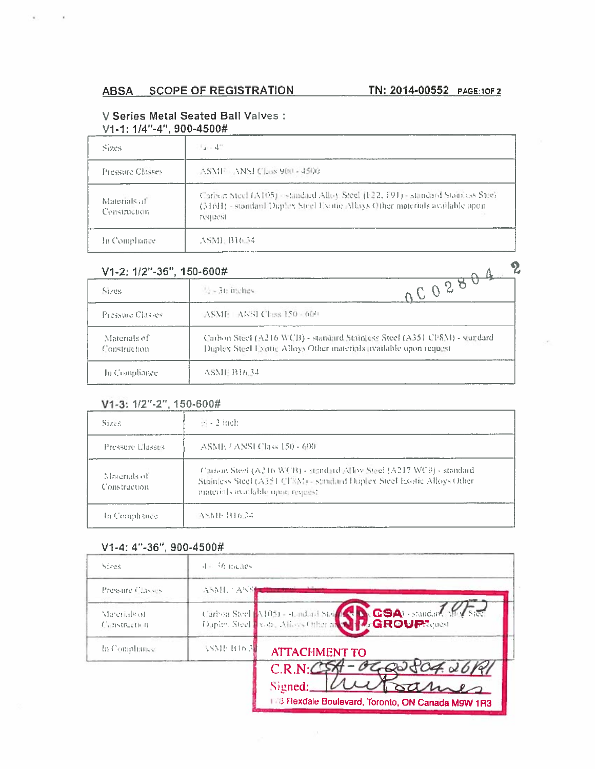#### V Series Metal Seated Ball Valves : V1-1: 1/4"-4", 900-4500#

| Sizes                         | $4 - 4$                                                                                                                                                                    |
|-------------------------------|----------------------------------------------------------------------------------------------------------------------------------------------------------------------------|
| <b>Pressure Classes</b>       | ASMF ANSI Class 900 - 4500                                                                                                                                                 |
| Materials of<br>Construction. | Carbon Steel (A105) - standard Alloy Steel (E22, F91) - standard Stainless Steel<br>(316H) - standard Duplex Steel Evotic Allays Other materials available upon<br>request |
| In Compliance                 | ASME B16.34                                                                                                                                                                |

|  | V1-2: 1/2"-36", 150-600# |  |
|--|--------------------------|--|
|  |                          |  |

| V1-2: 1/2"-36", 150-600#     |                                                                                                                                                |  |
|------------------------------|------------------------------------------------------------------------------------------------------------------------------------------------|--|
| Sizes                        | $-0.0288$<br>$\sim$ -36 inches                                                                                                                 |  |
| Pressure Classes             | ASME ANSI Class 150 - 600                                                                                                                      |  |
| Materials of<br>Construction | Carbon Steel (A216 WCB) - standard Stainless Steel (A351 CFSM) - standard<br>Duplex Steel Exotic Alloys Other materials available upon request |  |
| In Compliance                | ASME B16.34                                                                                                                                    |  |

#### V1-3: 1/2"-2", 150-600#

| Sizes.                        | $\mathbb{H}$ - 2 inch.                                                                                                                                                                |
|-------------------------------|---------------------------------------------------------------------------------------------------------------------------------------------------------------------------------------|
| Pressure Classes              | ASME / ANSI Class 150 - 600                                                                                                                                                           |
| Materials of<br>Construction. | Carioux Steel (A216 WCB) - standard Alloy Steel (A217 WC9) - standard<br>Stainless Steel (A351 CFSM) - stindard Duplex Steel Exotic Alloys Other<br>materials available upon request. |
| In Compliance                 | 医感性 田市區                                                                                                                                                                               |

#### V1-4: 4"-36", 900-4500#

| Sizes                        | $4-36$ malies.            |                                                                                                                            |
|------------------------------|---------------------------|----------------------------------------------------------------------------------------------------------------------------|
| Pressure Classes             | ASMI ANN                  |                                                                                                                            |
| Marerials of<br>Construction |                           | Carbon Steel M105) - standard Star (San CSA) - standard Mn/Steel<br>Daples Steel Work, Alloys Office in Caroly GROUPRenest |
| In Compliance                | ASME B16 3 <mark>1</mark> | <b>ATTACHMENT TO</b>                                                                                                       |
|                              |                           | C.R.N: C<br>04.06                                                                                                          |
|                              |                           | sames<br>Signed:<br>178 Rexdale Boulevard, Toronto, ON Canada M9W 1R3                                                      |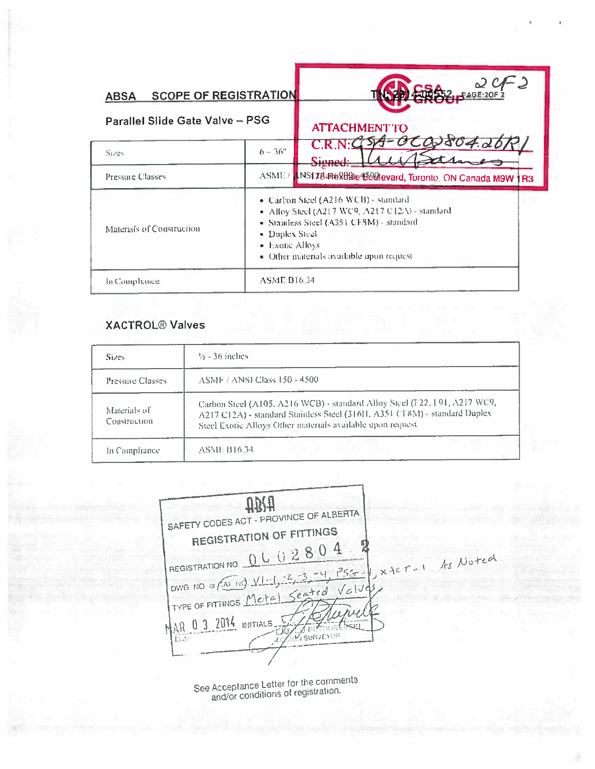| <b>SCOPE OF REGISTRATION</b><br><b>ABSA</b><br>Parallel Slide Gate Valve - PSG |                                                                                                                                                                                                                                     | ر :<br>ے جہ<br>$-$ PAGE:20F2<br><b>ATTACHMENT TO</b>    |
|--------------------------------------------------------------------------------|-------------------------------------------------------------------------------------------------------------------------------------------------------------------------------------------------------------------------------------|---------------------------------------------------------|
| Sizes                                                                          | $6 - 36^{\circ}$                                                                                                                                                                                                                    | C.R.N:C<br>Sianed:                                      |
| <b>Pressure Classes</b>                                                        | ASME/                                                                                                                                                                                                                               | INST T84Rextdale Boulevard, Toronto, ON Canada M9W   R3 |
| Materials of Construction                                                      | · Carbon Steel (A216 WCB) - standard<br>• Alloy Steel (A217 WC9, A217 C12A) - standard<br>• Stainless Steel (A351 CF8M) - standard<br>$\bullet$ Duplex Steel<br>$\bullet$ Exotic Alloys<br>• Other materials available upon request |                                                         |
| In Comphance                                                                   | <b>ASME B16.34</b>                                                                                                                                                                                                                  |                                                         |

### **XACTROL<sup>®</sup> Valves**

| Sizes:                       | $\frac{1}{2}$ = 36 inches                                                                                                                                                                                            |
|------------------------------|----------------------------------------------------------------------------------------------------------------------------------------------------------------------------------------------------------------------|
| Pressure Classes.            | ASMF / ANSI Class 150 - 4500                                                                                                                                                                                         |
| Materials of<br>Construction | Carbon Steel (A105, A216 WCB) - standard Alloy Steel (F22, F91, A217 WC9,<br>A217 C12A) - standard Stainless Steel (316H, A351 CF8M) - standard Duplex<br>Steel Exotic Alloys Other materials available upon request |
| In Compliance                | ASME B16.34                                                                                                                                                                                                          |

**UBIH** SAFETY CODES ACT - PROVINCE OF ALBERTA **REGISTRATION OF FITTINGS** REGISTRATION NO. 0 U 0 2 8 0 4 xxer-1 As Noted  $PSG$ DWG NO OF CAT. NO. VIII TYPE OF FITTINGS Metal Seated  $Vc1J$ AR 0 3 2014 INITIALS. **ALLE LE LE POSE** Date: x

See Acceptance Letter for the comments<br>and/or conditions of registration.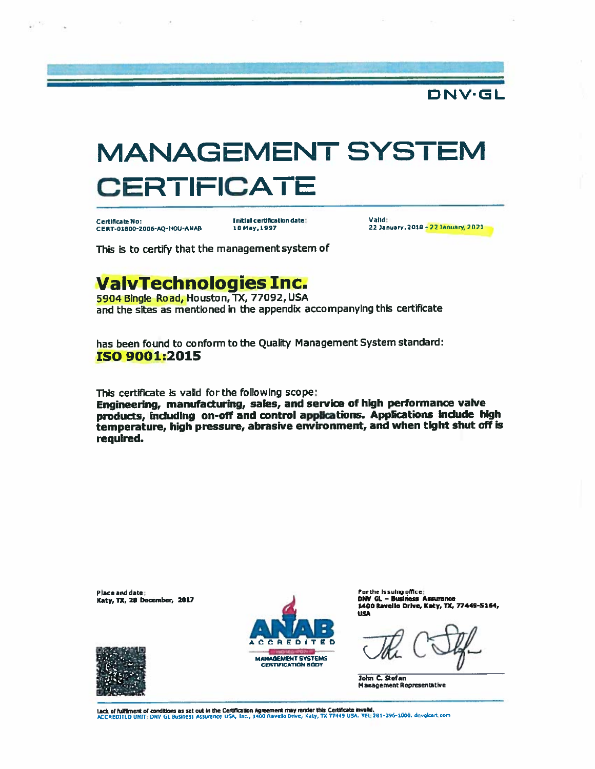

Certificate No: CERT-01800-2006-AQ-HOU-ANAB

**Initial certification date:** 18 May, 1997

Validit 22 January, 2018 - 22 January, 2021

DNV.GL

This is to certify that the management system of

# **ValvTechnologies Inc.**

5904 Bingle Road, Houston, TX, 77092, USA and the sites as mentioned in the appendix accompanying this certificate

has been found to conform to the Quality Management System standard: **ISO 9001:2015** 

This certificate is valid for the following scope;

Engineering, manufacturing, sales, and service of high performance valve products, including on-off and control applications. Applications include high temperature, high pressure, abrasive environment, and when tight shut off is required.

Place and date: Katy, TX, 28 December, 2017



For the Issuing office: DNV GL - Business Assurance<br>1400 Ravello Drive, Katy, TX, 77449-5164, **USA** 

**John C. Stefan Management Representative** 

Lack of fulfilment of conditions as set out in the Certification Agreement may render this Certificate invalid.<br>ACCREDITED UNIT: DNV Gt. Business Assurance USA, Inc., 1400 Ravello Drive, Katy, TX 77449 USA. TEL:281-396-100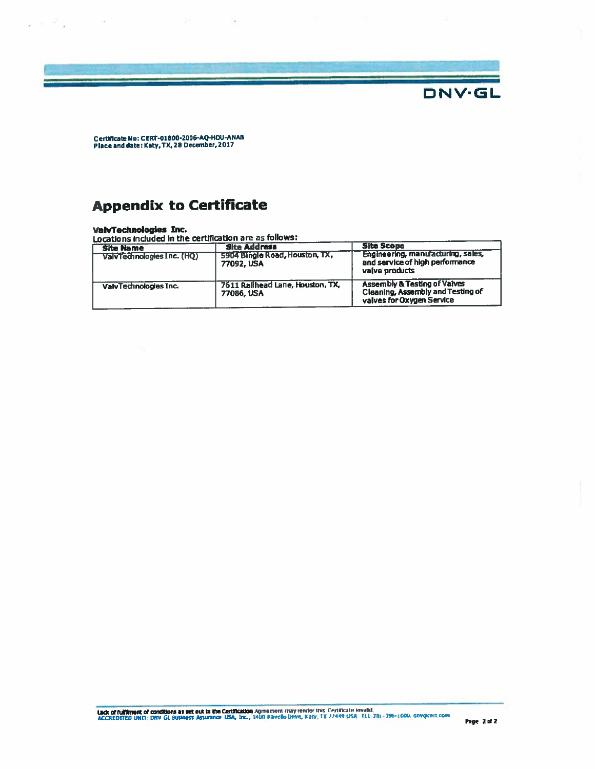

Certificate No: CERT-01800-2006-AQ-HOU-ANAB<br>Place and date: Katy, TX, 28 December, 2017

# **Appendix to Certificate**

 $\label{eq:2.1} 2\mathbb{I} + 2\mathbb{I}^2 \mathbb{Q} \qquad \qquad 2\mathbb{I}$ 

ValvTechnologies Inc.<br>Locations included in the certification are as follows:

表 一个

| <b>Site Name</b>           | <b>Site Address</b>                            | <b>Site Scope</b>                                                                                         |
|----------------------------|------------------------------------------------|-----------------------------------------------------------------------------------------------------------|
| ValvTechnologies Inc. (HQ) | 5904 Bingle Road, Houston, TX,<br>77092, USA   | Engineering, manufacturing, sales,<br>and service of high performance<br>valve products                   |
| ValvTechnologies Inc.      | 7611 Railhead Lane, Houston, TX,<br>77086, USA | <b>Assembly &amp; Testing of Valves</b><br>Cleaning, Assembly and Testing of<br>valves for Oxygen Service |